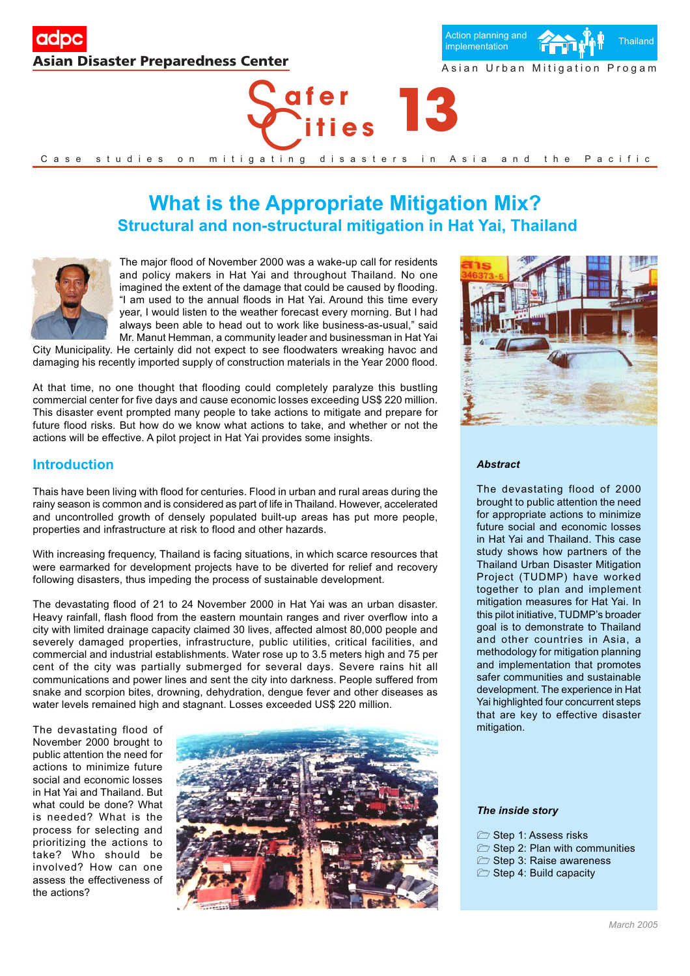





# **What is the Appropriate Mitigation Mix? Structural and non-structural mitigation in Hat Yai, Thailand**



The major flood of November 2000 was a wake-up call for residents and policy makers in Hat Yai and throughout Thailand. No one imagined the extent of the damage that could be caused by flooding. "I am used to the annual floods in Hat Yai. Around this time every year, I would listen to the weather forecast every morning. But I had always been able to head out to work like business-as-usual," said Mr. Manut Hemman, a community leader and businessman in Hat Yai

City Municipality. He certainly did not expect to see floodwaters wreaking havoc and damaging his recently imported supply of construction materials in the Year 2000 flood.

At that time, no one thought that flooding could completely paralyze this bustling commercial center for five days and cause economic losses exceeding US\$ 220 million. This disaster event prompted many people to take actions to mitigate and prepare for future flood risks. But how do we know what actions to take, and whether or not the actions will be effective. A pilot project in Hat Yai provides some insights.

# **Introduction**

Thais have been living with flood for centuries. Flood in urban and rural areas during the rainy season is common and is considered as part of life in Thailand. However, accelerated and uncontrolled growth of densely populated built-up areas has put more people, properties and infrastructure at risk to flood and other hazards.

With increasing frequency, Thailand is facing situations, in which scarce resources that were earmarked for development projects have to be diverted for relief and recovery following disasters, thus impeding the process of sustainable development.

The devastating flood of 21 to 24 November 2000 in Hat Yai was an urban disaster. Heavy rainfall, flash flood from the eastern mountain ranges and river overflow into a city with limited drainage capacity claimed 30 lives, affected almost 80,000 people and severely damaged properties, infrastructure, public utilities, critical facilities, and commercial and industrial establishments. Water rose up to 3.5 meters high and 75 per cent of the city was partially submerged for several days. Severe rains hit all communications and power lines and sent the city into darkness. People suffered from snake and scorpion bites, drowning, dehydration, dengue fever and other diseases as water levels remained high and stagnant. Losses exceeded US\$ 220 million.

The devastating flood of November 2000 brought to public attention the need for actions to minimize future social and economic losses in Hat Yai and Thailand. But what could be done? What is needed? What is the process for selecting and prioritizing the actions to take? Who should be involved? How can one assess the effectiveness of the actions?





#### *Abstract*

The devastating flood of 2000 brought to public attention the need for appropriate actions to minimize future social and economic losses in Hat Yai and Thailand. This case study shows how partners of the Thailand Urban Disaster Mitigation Project (TUDMP) have worked together to plan and implement mitigation measures for Hat Yai. In this pilot initiative, TUDMP's broader goal is to demonstrate to Thailand and other countries in Asia, a methodology for mitigation planning and implementation that promotes safer communities and sustainable development. The experience in Hat Yai highlighted four concurrent steps that are key to effective disaster mitigation.

#### *The inside story*

- Step 1: Assess risks
- $\triangleright$  Step 2: Plan with communities
- $\triangleright$  Step 3: Raise awareness
- Step 4: Build capacity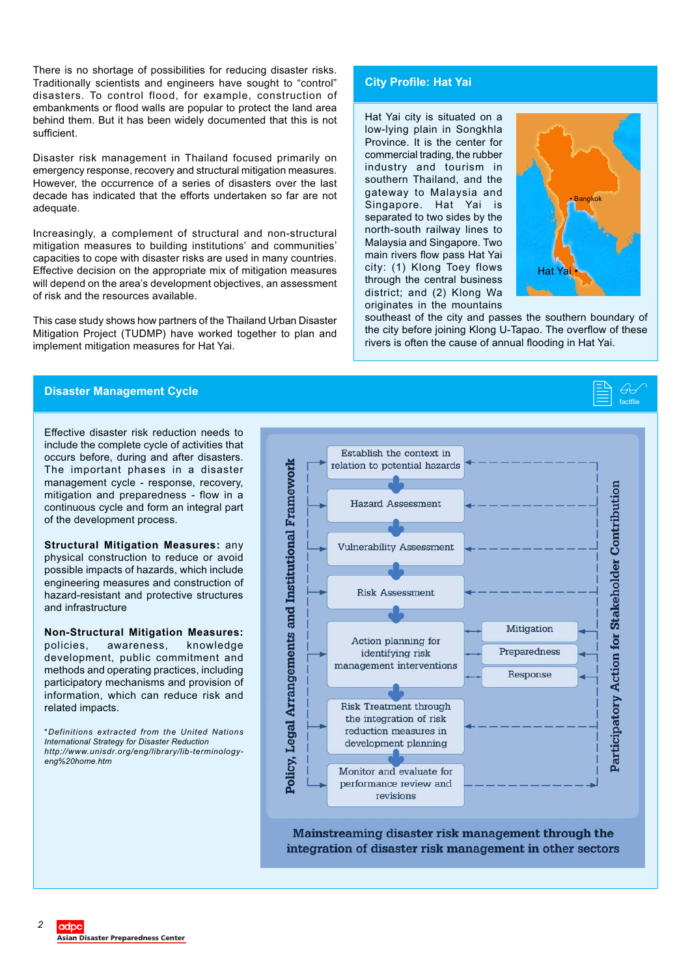There is no shortage of possibilities for reducing disaster risks. Traditionally scientists and engineers have sought to "control" disasters. To control flood, for example, construction of embankments or flood walls are popular to protect the land area behind them. But it has been widely documented that this is not sufficient.

Disaster risk management in Thailand focused primarily on emergency response, recovery and structural mitigation measures. However, the occurrence of a series of disasters over the last decade has indicated that the efforts undertaken so far are not adequate.

Increasingly, a complement of structural and non-structural mitigation measures to building institutions' and communities' capacities to cope with disaster risks are used in many countries. Effective decision on the appropriate mix of mitigation measures will depend on the area's development objectives, an assessment of risk and the resources available.

This case study shows how partners of the Thailand Urban Disaster Mitigation Project (TUDMP) have worked together to plan and implement mitigation measures for Hat Yai.

# **City Profile: Hat Yai**

Hat Yai city is situated on a low-lying plain in Songkhla Province. It is the center for commercial trading, the rubber industry and tourism in southern Thailand, and the gateway to Malaysia and Singapore. Hat Yai is separated to two sides by the north-south railway lines to Malaysia and Singapore. Two main rivers flow pass Hat Yai city: (1) Klong Toey flows through the central business district; and (2) Klong Wa originates in the mountains



 $\overline{\mathbb{G}}$ factfile

southeast of the city and passes the southern boundary of the city before joining Klong U-Tapao. The overflow of these rivers is often the cause of annual flooding in Hat Yai.

# **Disaster Management Cycle** -

Effective disaster risk reduction needs to include the complete cycle of activities that occurs before, during and after disasters. The important phases in a disaster management cycle - response, recovery, mitigation and preparedness - flow in a continuous cycle and form an integral part of the development process.

**Structural Mitigation Measures:** any physical construction to reduce or avoid possible impacts of hazards, which include engineering measures and construction of hazard-resistant and protective structures and infrastructure

**Non-Structural Mitigation Measures:** policies, awareness, knowledge development, public commitment and methods and operating practices, including participatory mechanisms and provision of information, which can reduce risk and related impacts.

*\*Definitions extracted from the United Nations International Strategy for Disaster Reduction http://www.unisdr.org/eng/library/lib-terminologyeng%20home.htm*



Mainstreaming disaster risk management through the integration of disaster risk management in other sectors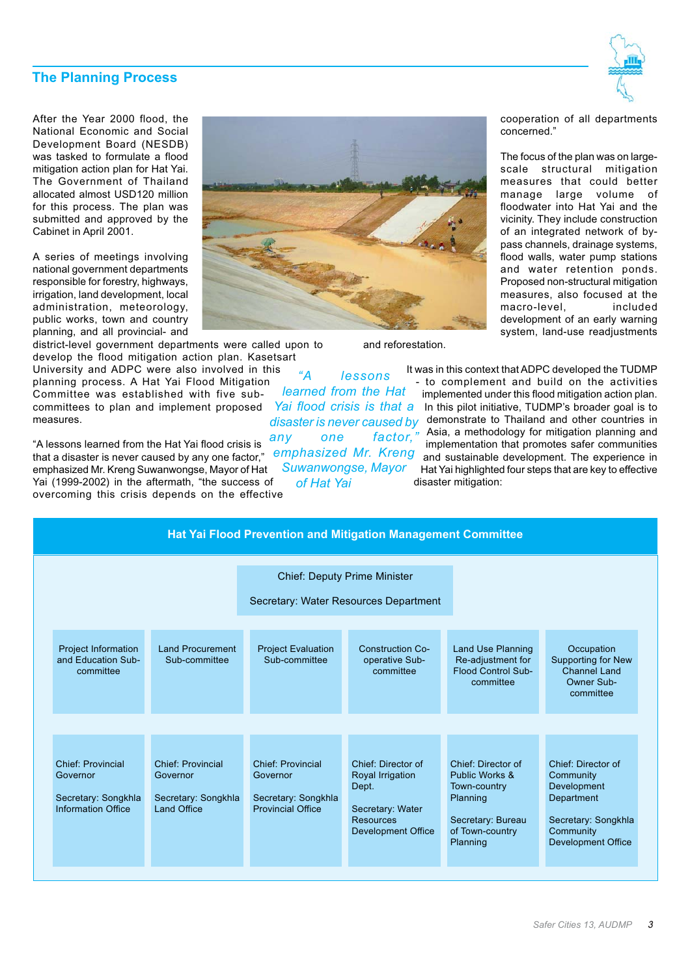# **The Planning Process**



After the Year 2000 flood, the National Economic and Social Development Board (NESDB) was tasked to formulate a flood mitigation action plan for Hat Yai. The Government of Thailand allocated almost USD120 million for this process. The plan was submitted and approved by the Cabinet in April 2001.

A series of meetings involving national government departments responsible for forestry, highways, irrigation, land development, local administration, meteorology, public works, town and country planning, and all provincial- and



district-level government departments were called upon to develop the flood mitigation action plan. Kasetsart

University and ADPC were also involved in this planning process. A Hat Yai Flood Mitigation Committee was established with five subcommittees to plan and implement proposed measures.

"A lessons learned from the Hat Yai flood crisis is that a disaster is never caused by any one factor," emphasized Mr. Kreng Suwanwongse, Mayor of Hat Yai (1999-2002) in the aftermath, "the success of overcoming this crisis depends on the effective

*"A lessons learned from the Hat disaster is never caused by any one factor," emphasized Mr. Kreng Suwanwongse, Mayor of Hat Yai*

and reforestation.

cooperation of all departments concerned."

The focus of the plan was on largescale structural mitigation measures that could better manage large volume of floodwater into Hat Yai and the vicinity. They include construction of an integrated network of bypass channels, drainage systems, flood walls, water pump stations and water retention ponds. Proposed non-structural mitigation measures, also focused at the macro-level, included development of an early warning system, land-use readjustments

It was in this context that ADPC developed the TUDMP - to complement and build on the activities implemented under this flood mitigation action plan. Yai flood crisis is that a In this pilot initiative, TUDMP's broader goal is to demonstrate to Thailand and other countries in Asia, a methodology for mitigation planning and implementation that promotes safer communities and sustainable development. The experience in Hat Yai highlighted four steps that are key to effective disaster mitigation:

| <b>Hat Yai Flood Prevention and Mitigation Management Committee</b>               |                                                                            |                                                                                         |                                                                                                                      |                                                                                                                      |                                                                                                                               |
|-----------------------------------------------------------------------------------|----------------------------------------------------------------------------|-----------------------------------------------------------------------------------------|----------------------------------------------------------------------------------------------------------------------|----------------------------------------------------------------------------------------------------------------------|-------------------------------------------------------------------------------------------------------------------------------|
|                                                                                   |                                                                            | <b>Chief: Deputy Prime Minister</b><br>Secretary: Water Resources Department            |                                                                                                                      |                                                                                                                      |                                                                                                                               |
| Project Information<br>and Education Sub-<br>committee                            | <b>Land Procurement</b><br>Sub-committee                                   | <b>Project Evaluation</b><br>Sub-committee                                              | <b>Construction Co-</b><br>operative Sub-<br>committee                                                               | <b>Land Use Planning</b><br>Re-adjustment for<br><b>Flood Control Sub-</b><br>committee                              | Occupation<br><b>Supporting for New</b><br><b>Channel Land</b><br>Owner Sub-<br>committee                                     |
| <b>Chief: Provincial</b><br>Governor<br>Secretary: Songkhla<br>Information Office | <b>Chief: Provincial</b><br>Governor<br>Secretary: Songkhla<br>Land Office | <b>Chief: Provincial</b><br>Governor<br>Secretary: Songkhla<br><b>Provincial Office</b> | Chief: Director of<br>Royal Irrigation<br>Dept.<br>Secretary: Water<br><b>Resources</b><br><b>Development Office</b> | Chief: Director of<br>Public Works &<br>Town-country<br>Planning<br>Secretary: Bureau<br>of Town-country<br>Planning | Chief: Director of<br>Community<br>Development<br>Department<br>Secretary: Songkhla<br>Community<br><b>Development Office</b> |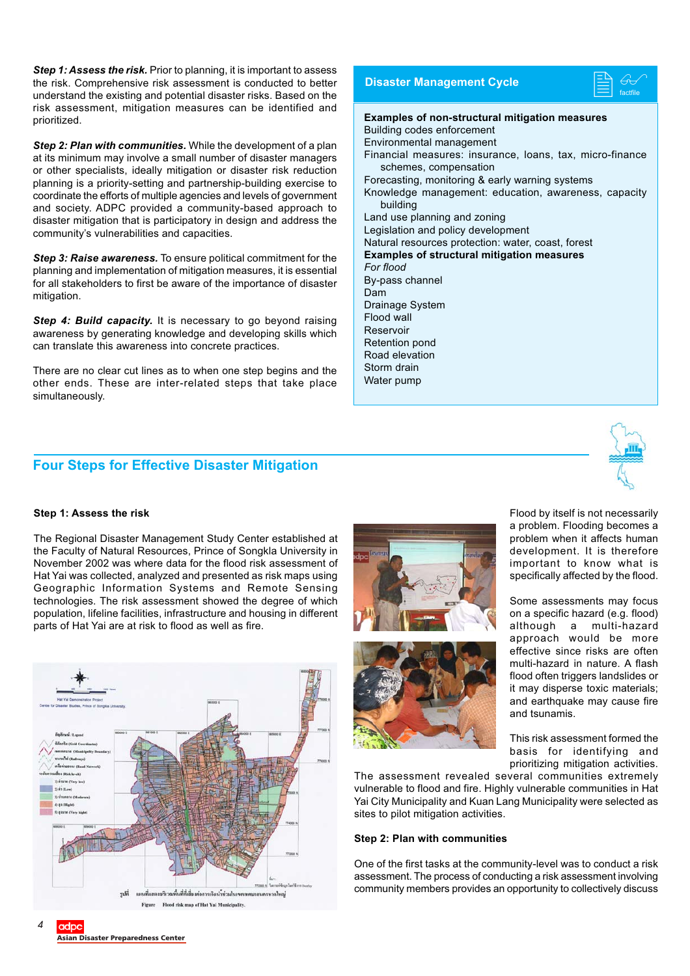**Step 1: Assess the risk.** Prior to planning, it is important to assess the risk. Comprehensive risk assessment is conducted to better understand the existing and potential disaster risks. Based on the risk assessment, mitigation measures can be identified and prioritized.

*Step 2: Plan with communities.* While the development of a plan at its minimum may involve a small number of disaster managers or other specialists, ideally mitigation or disaster risk reduction planning is a priority-setting and partnership-building exercise to coordinate the efforts of multiple agencies and levels of government and society. ADPC provided a community-based approach to disaster mitigation that is participatory in design and address the community's vulnerabilities and capacities.

*Step 3: Raise awareness.* To ensure political commitment for the planning and implementation of mitigation measures, it is essential for all stakeholders to first be aware of the importance of disaster mitigation.

**Step 4: Build capacity.** It is necessary to go beyond raising awareness by generating knowledge and developing skills which can translate this awareness into concrete practices.

There are no clear cut lines as to when one step begins and the other ends. These are inter-related steps that take place simultaneously.

# **Four Steps for Effective Disaster Mitigation**

# **Disaster Management Cycle**

**ED**  $\overline{\mathbb{G}}$ factfile

**Examples of non-structural mitigation measures** Building codes enforcement Environmental management Financial measures: insurance, loans, tax, micro-finance schemes, compensation Forecasting, monitoring & early warning systems Knowledge management: education, awareness, capacity building Land use planning and zoning Legislation and policy development Natural resources protection: water, coast, forest **Examples of structural mitigation measures** *For flood* By-pass channel Dam Drainage System Flood wall Reservoir Retention pond Road elevation Storm drain Water pump



#### **Step 1: Assess the risk**

The Regional Disaster Management Study Center established at the Faculty of Natural Resources, Prince of Songkla University in November 2002 was where data for the flood risk assessment of Hat Yai was collected, analyzed and presented as risk maps using Geographic Information Systems and Remote Sensing technologies. The risk assessment showed the degree of which population, lifeline facilities, infrastructure and housing in different parts of Hat Yai are at risk to flood as well as fire.







a problem. Flooding becomes a problem when it affects human development. It is therefore important to know what is specifically affected by the flood.

Flood by itself is not necessarily

Some assessments may focus on a specific hazard (e.g. flood) although a multi-hazard approach would be more effective since risks are often multi-hazard in nature. A flash flood often triggers landslides or it may disperse toxic materials; and earthquake may cause fire and tsunamis.

This risk assessment formed the basis for identifying and prioritizing mitigation activities.

The assessment revealed several communities extremely vulnerable to flood and fire. Highly vulnerable communities in Hat Yai City Municipality and Kuan Lang Municipality were selected as sites to pilot mitigation activities.

#### **Step 2: Plan with communities**

One of the first tasks at the community-level was to conduct a risk assessment. The process of conducting a risk assessment involving community members provides an opportunity to collectively discuss

*4*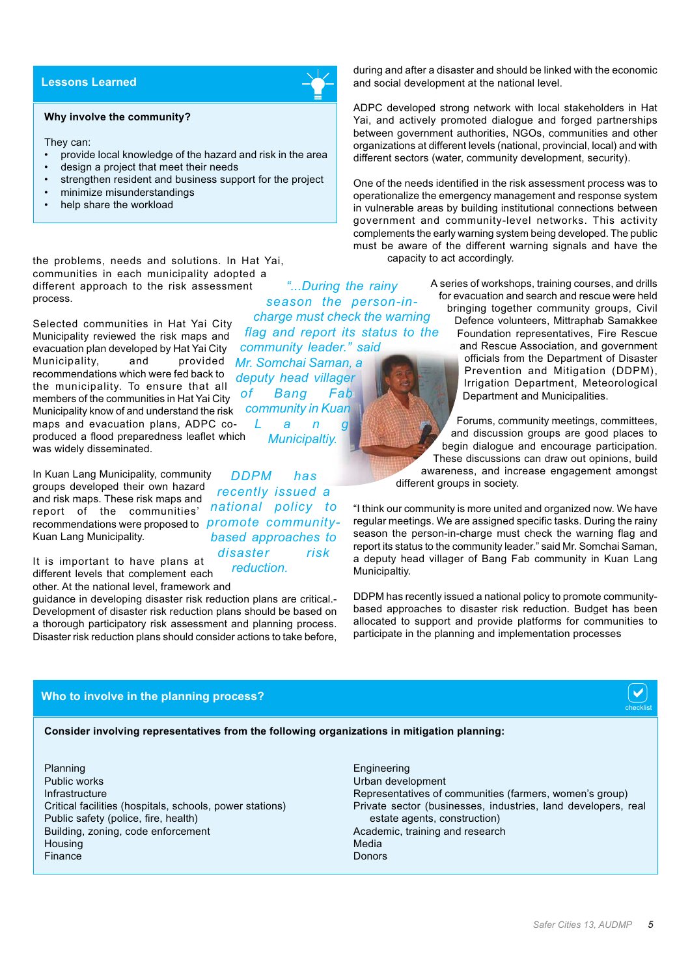# **Lessons Learned**

#### **Why involve the community?**

They can:

- provide local knowledge of the hazard and risk in the area
- design a project that meet their needs
- strengthen resident and business support for the project
- minimize misunderstandings
- help share the workload

the problems, needs and solutions. In Hat Yai, communities in each municipality adopted a different approach to the risk assessment process.

Selected communities in Hat Yai City Municipality reviewed the risk maps and evacuation plan developed by Hat Yai City<br>Municipality, and provided Municipality, and recommendations which were fed back to the municipality. To ensure that all members of the communities in Hat Yai City Municipality know of and understand the risk maps and evacuation plans, ADPC coproduced a flood preparedness leaflet which was widely disseminated. *Mr. Somchai Saman, a deputy head villager of Bang Fab*

In Kuan Lang Municipality, community groups developed their own hazard and risk maps. These risk maps and report of the communities' recommendations were proposed to *promote community-*Kuan Lang Municipality.

*national policy to based approaches to disaster risk*

*DDPM has recently issued a*

*community in Kuan Lang Municipaltiy.*

It is important to have plans at different levels that complement each other. At the national level, framework and *reduction.*

guidance in developing disaster risk reduction plans are critical.- Development of disaster risk reduction plans should be based on a thorough participatory risk assessment and planning process. Disaster risk reduction plans should consider actions to take before,

during and after a disaster and should be linked with the economic and social development at the national level.

ADPC developed strong network with local stakeholders in Hat Yai, and actively promoted dialogue and forged partnerships between government authorities, NGOs, communities and other organizations at different levels (national, provincial, local) and with different sectors (water, community development, security).

One of the needs identified in the risk assessment process was to operationalize the emergency management and response system in vulnerable areas by building institutional connections between government and community-level networks. This activity complements the early warning system being developed. The public must be aware of the different warning signals and have the capacity to act accordingly.

A series of workshops, training courses, and drills for evacuation and search and rescue were held bringing together community groups, Civil Defence volunteers, Mittraphab Samakkee Foundation representatives, Fire Rescue and Rescue Association, and government officials from the Department of Disaster *"...During the rainy season the person-incharge must check the warning flag and report its status to the community leader." said*

> and discussion groups are good places to begin dialogue and encourage participation. These discussions can draw out opinions, build awareness, and increase engagement amongst different groups in society.

"I think our community is more united and organized now. We have regular meetings. We are assigned specific tasks. During the rainy season the person-in-charge must check the warning flag and report its status to the community leader." said Mr. Somchai Saman, a deputy head villager of Bang Fab community in Kuan Lang Municipaltiy.

DDPM has recently issued a national policy to promote communitybased approaches to disaster risk reduction. Budget has been allocated to support and provide platforms for communities to participate in the planning and implementation processes

## **Who to involve in the planning process?**

#### **Consider involving representatives from the following organizations in mitigation planning:**

Planning Public works Infrastructure Critical facilities (hospitals, schools, power stations) Public safety (police, fire, health) Building, zoning, code enforcement **Housing** Finance

**Engineering** Urban development Representatives of communities (farmers, women's group) Private sector (businesses, industries, land developers, real estate agents, construction) Academic, training and research Media Donors

Prevention and Mitigation (DDPM), Irrigation Department, Meteorological Department and Municipalities. Forums, community meetings, committees,

checklist  $\boxed{\blacktriangledown}$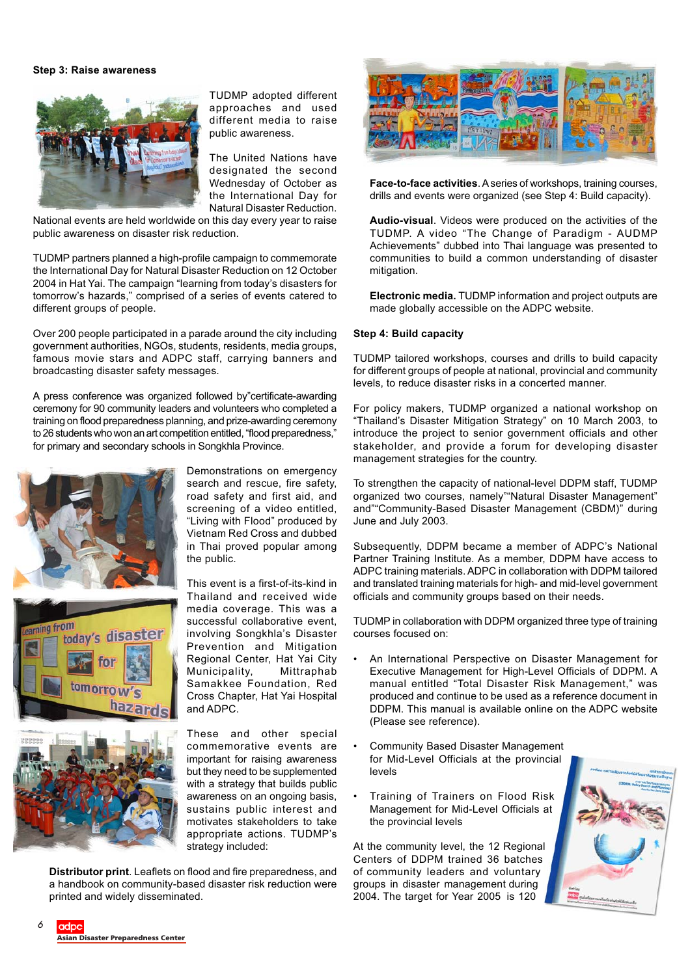#### **Step 3: Raise awareness**



TUDMP adopted different approaches and used different media to raise public awareness.

The United Nations have designated the second Wednesday of October as the International Day for Natural Disaster Reduction.

National events are held worldwide on this day every year to raise public awareness on disaster risk reduction.

TUDMP partners planned a high-profile campaign to commemorate the International Day for Natural Disaster Reduction on 12 October 2004 in Hat Yai. The campaign "learning from today's disasters for tomorrow's hazards," comprised of a series of events catered to different groups of people.

Over 200 people participated in a parade around the city including government authorities, NGOs, students, residents, media groups, famous movie stars and ADPC staff, carrying banners and broadcasting disaster safety messages.

A press conference was organized followed by"certificate-awarding ceremony for 90 community leaders and volunteers who completed a training on flood preparedness planning, and prize-awarding ceremony to 26 students who won an art competition entitled, "flood preparedness," for primary and secondary schools in Songkhla Province.





hazar

Demonstrations on emergency search and rescue, fire safety, road safety and first aid, and screening of a video entitled, "Living with Flood" produced by Vietnam Red Cross and dubbed in Thai proved popular among the public.

This event is a first-of-its-kind in Thailand and received wide media coverage. This was a successful collaborative event, involving Songkhla's Disaster Prevention and Mitigation Regional Center, Hat Yai City Municipality, Mittraphab Samakkee Foundation, Red Cross Chapter, Hat Yai Hospital and ADPC.

These and other special commemorative events are important for raising awareness but they need to be supplemented with a strategy that builds public awareness on an ongoing basis, sustains public interest and motivates stakeholders to take appropriate actions. TUDMP's strategy included:

**Distributor print**. Leaflets on flood and fire preparedness, and a handbook on community-based disaster risk reduction were printed and widely disseminated.



**Face-to-face activities**. A series of workshops, training courses, drills and events were organized (see Step 4: Build capacity).

**Audio-visual**. Videos were produced on the activities of the TUDMP. A video "The Change of Paradigm - AUDMP Achievements" dubbed into Thai language was presented to communities to build a common understanding of disaster mitigation.

**Electronic media.** TUDMP information and project outputs are made globally accessible on the ADPC website.

#### **Step 4: Build capacity**

TUDMP tailored workshops, courses and drills to build capacity for different groups of people at national, provincial and community levels, to reduce disaster risks in a concerted manner.

For policy makers, TUDMP organized a national workshop on "Thailand's Disaster Mitigation Strategy" on 10 March 2003, to introduce the project to senior government officials and other stakeholder, and provide a forum for developing disaster management strategies for the country.

To strengthen the capacity of national-level DDPM staff, TUDMP organized two courses, namely""Natural Disaster Management" and""Community-Based Disaster Management (CBDM)" during June and July 2003.

Subsequently, DDPM became a member of ADPC's National Partner Training Institute. As a member, DDPM have access to ADPC training materials. ADPC in collaboration with DDPM tailored and translated training materials for high- and mid-level government officials and community groups based on their needs.

TUDMP in collaboration with DDPM organized three type of training courses focused on:

- An International Perspective on Disaster Management for Executive Management for High-Level Officials of DDPM. A manual entitled "Total Disaster Risk Management," was produced and continue to be used as a reference document in DDPM. This manual is available online on the ADPC website (Please see reference).
- Community Based Disaster Management for Mid-Level Officials at the provincial levels
- Training of Trainers on Flood Risk Management for Mid-Level Officials at the provincial levels

At the community level, the 12 Regional Centers of DDPM trained 36 batches of community leaders and voluntary groups in disaster management during 2004. The target for Year 2005 is 120



adpc **Asian Disaster Preparedness Center**

*6*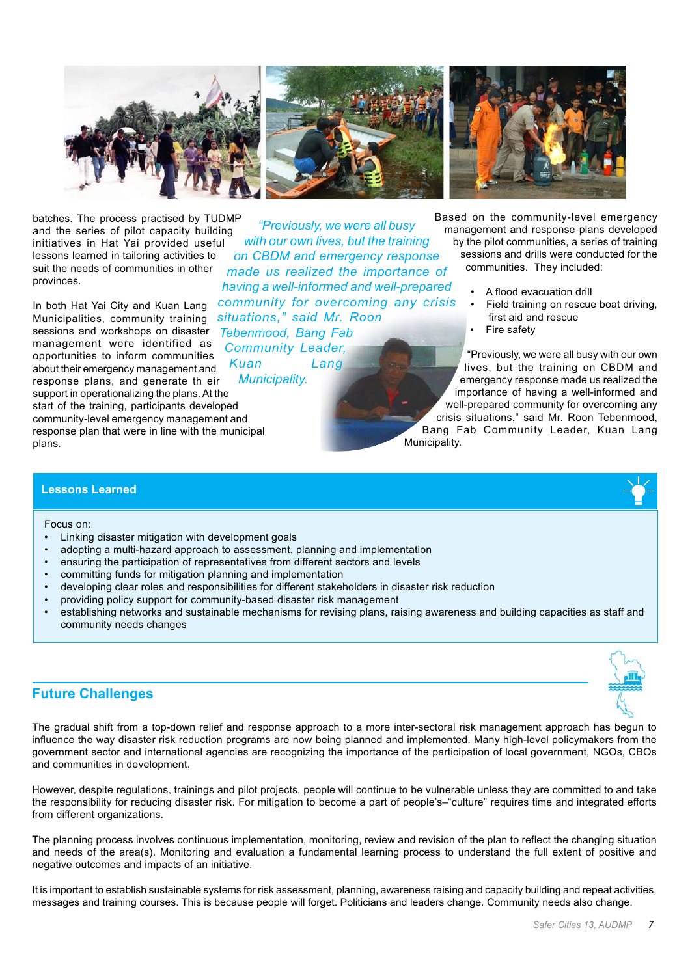

batches. The process practised by TUDMP and the series of pilot capacity building initiatives in Hat Yai provided useful lessons learned in tailoring activities to suit the needs of communities in other provinces.

In both Hat Yai City and Kuan Lang Municipalities, community training sessions and workshops on disaster management were identified as opportunities to inform communities about their emergency management and response plans, and generate th eir support in operationalizing the plans. At the start of the training, participants developed community-level emergency management and response plan that were in line with the municipal plans.

*"Previously, we were all busy with our own lives, but the training on CBDM and emergency response made us realized the importance of having a well-informed and well-prepared community for overcoming any crisis situations," said Mr. Roon Tebenmood, Bang Fab Community Leader, Kuan Lang*

*Municipality.*



Based on the community-level emergency management and response plans developed by the pilot communities, a series of training sessions and drills were conducted for the communities. They included:

- A flood evacuation drill
- Field training on rescue boat driving, first aid and rescue
- Fire safety

"Previously, we were all busy with our own lives, but the training on CBDM and emergency response made us realized the importance of having a well-informed and well-prepared community for overcoming any crisis situations," said Mr. Roon Tebenmood, Bang Fab Community Leader, Kuan Lang Municipality.

### **Lessons Learned**

Focus on:

- Linking disaster mitigation with development goals
- adopting a multi-hazard approach to assessment, planning and implementation
- ensuring the participation of representatives from different sectors and levels
- committing funds for mitigation planning and implementation
- developing clear roles and responsibilities for different stakeholders in disaster risk reduction
- providing policy support for community-based disaster risk management
- establishing networks and sustainable mechanisms for revising plans, raising awareness and building capacities as staff and community needs changes

# **Future Challenges**

The gradual shift from a top-down relief and response approach to a more inter-sectoral risk management approach has begun to influence the way disaster risk reduction programs are now being planned and implemented. Many high-level policymakers from the government sector and international agencies are recognizing the importance of the participation of local government, NGOs, CBOs and communities in development.

However, despite regulations, trainings and pilot projects, people will continue to be vulnerable unless they are committed to and take the responsibility for reducing disaster risk. For mitigation to become a part of people's–"culture" requires time and integrated efforts from different organizations.

The planning process involves continuous implementation, monitoring, review and revision of the plan to reflect the changing situation and needs of the area(s). Monitoring and evaluation a fundamental learning process to understand the full extent of positive and negative outcomes and impacts of an initiative.

It is important to establish sustainable systems for risk assessment, planning, awareness raising and capacity building and repeat activities, messages and training courses. This is because people will forget. Politicians and leaders change. Community needs also change.